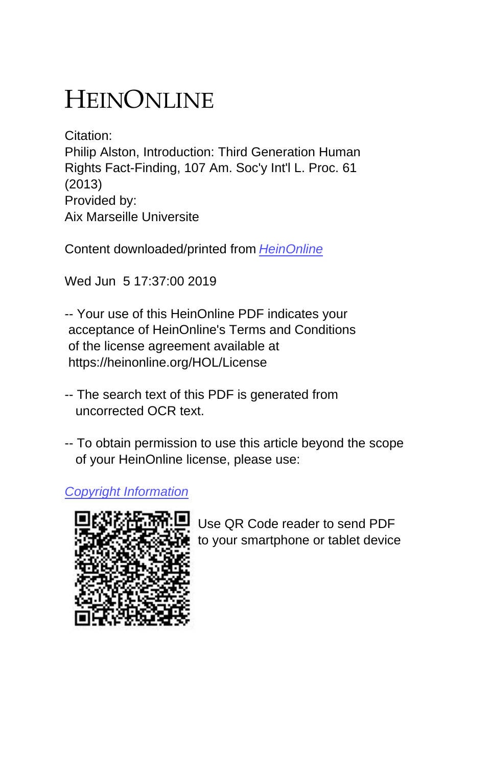# HEINONLINE

Citation:

Philip Alston, Introduction: Third Generation Human Rights Fact-Finding, 107 Am. Soc'y Int'l L. Proc. 61 (2013) Provided by: Aix Marseille Universite

Content downloaded/printed from [HeinOnline](https://heinonline.org/HOL/Page?handle=hein.journals/asilp107&collection=journals&id=75&startid=&endid=76)

Wed Jun 5 17:37:00 2019

-- Your use of this HeinOnline PDF indicates your acceptance of HeinOnline's Terms and Conditions of the license agreement available at https://heinonline.org/HOL/License

- -- The search text of this PDF is generated from uncorrected OCR text.
- -- To obtain permission to use this article beyond the scope of your HeinOnline license, please use:

# [Copyright Information](https://www.copyright.com/ccc/basicSearch.do?operation=go&searchType=0&lastSearch=simple&all=on&titleOrStdNo=0272-5037)



 Use QR Code reader to send PDF to your smartphone or tablet device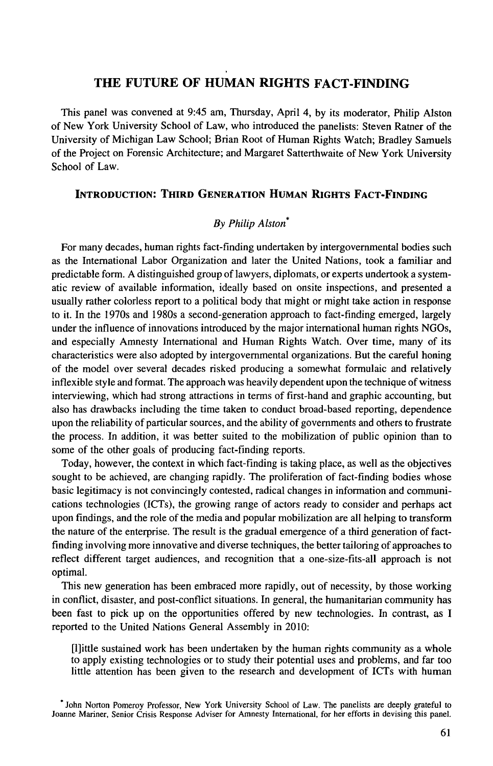## **THE FUTURE OF HUMAN RIGHTS FACT-FINDING**

This panel was convened at 9:45 am, Thursday, April 4, **by** its moderator, Philip Alston of New York University School of Law, who introduced the panelists: Steven Ratner of the University of Michigan Law School; Brian Root of Human Rights Watch; Bradley Samuels of the Project on Forensic Architecture; and Margaret Satterthwaite of New York University School of Law.

#### **INTRODUCTION: THIRD GENERATION HUMAN RIGHTS FACT-FINDING**

### *By Philip Alston\**

For many decades, human rights fact-finding undertaken **by** intergovernmental bodies such as the International Labor Organization and later the United Nations, took a familiar and predictable form. **A** distinguished group of lawyers, diplomats, or experts undertook a systematic review of available information, ideally based on onsite inspections, and presented a usually rather colorless report to a political body that might or might take action in response to it. In the 1970s and 1980s a second-generation approach to fact-finding emerged, largely under the influence of innovations introduced **by** the major international human rights NGOs, and especially Amnesty International and Human Rights Watch. Over time, many of its characteristics were also adopted **by** intergovernmental organizations. But the careful honing of the model over several decades risked producing a somewhat formulaic and relatively inflexible style and format. The approach was heavily dependent upon the technique of witness interviewing, which had strong attractions in terms of first-hand and graphic accounting, but also has drawbacks including the time taken to conduct broad-based reporting, dependence upon the reliability of particular sources, and the ability of governments and others to frustrate the process. In addition, it was better suited to the mobilization of public opinion than to some of the other goals of producing fact-finding reports.

Today, however, the context in which fact-finding is taking place, as well as the objectives sought to be achieved, are changing rapidly. The proliferation of fact-finding bodies whose basic legitimacy is not convincingly contested, radical changes in information and communications technologies (ICTs), the growing range of actors ready to consider and perhaps act upon findings, and the role of the media and popular mobilization are all helping to transform the nature of the enterprise. The result is the gradual emergence of a third generation of factfinding involving more innovative and diverse techniques, the better tailoring of approaches to reflect different target audiences, and recognition that a one-size-fits-all approach is not optimal.

This new generation has been embraced more rapidly, out of necessity, **by** those working in conflict, disaster, and post-conflict situations. In general, the humanitarian community has been fast to pick up on the opportunities offered **by** new technologies. In contrast, as **I** reported to the United Nations General Assembly in 2010:

[1]ittle sustained work has been undertaken **by** the human rights community as a whole to apply existing technologies or to study their potential uses and problems, and far too little attention has been given to the research and development of ICTs with human

\* John Norton Pomeroy Professor, New York University School of Law. The panelists are deeply grateful to Joanne Mariner, Senior Crisis Response Adviser for Amnesty International, for her efforts in devising this panel.